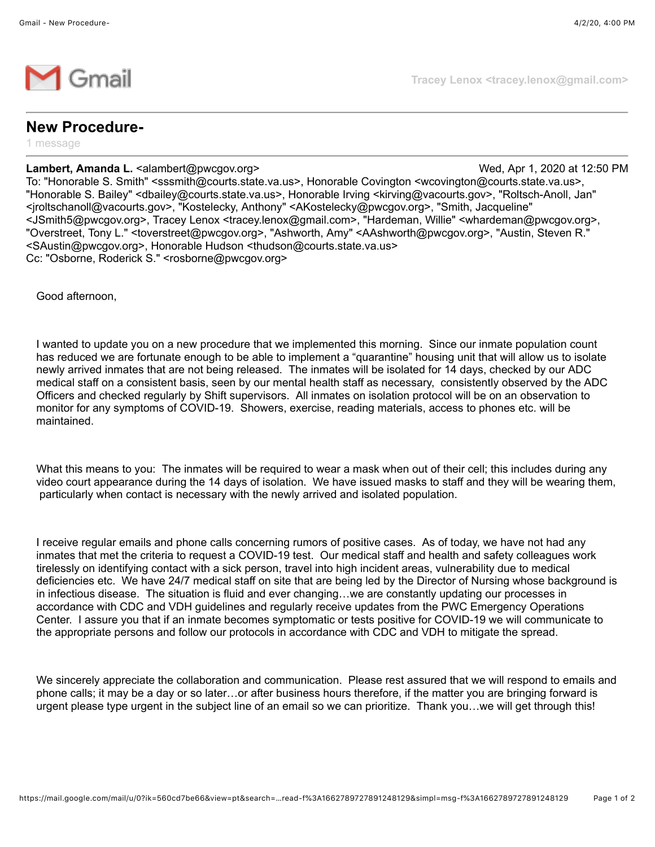

**Tracey Lenox <tracey.lenox@gmail.com>**

## **New Procedure-**

1 message

## **Lambert, Amanda L.** <alambert@pwcgov.org> Wed, Apr 1, 2020 at 12:50 PM

Cc: "Osborne, Roderick S." <rosborne@pwcgov.org>

To: "Honorable S. Smith" <sssmith@courts.state.va.us>, Honorable Covington <wcovington@courts.state.va.us>, "Honorable S. Bailey" <dbailey@courts.state.va.us>, Honorable Irving <kirving@vacourts.gov>, "Roltsch-Anoll, Jan" <jroltschanoll@vacourts.gov>, "Kostelecky, Anthony" <AKostelecky@pwcgov.org>, "Smith, Jacqueline" <JSmith5@pwcgov.org>, Tracey Lenox <tracey.lenox@gmail.com>, "Hardeman, Willie" <whardeman@pwcgov.org>, "Overstreet, Tony L." <toverstreet@pwcgov.org>, "Ashworth, Amy" <AAshworth@pwcgov.org>, "Austin, Steven R." <SAustin@pwcgov.org>, Honorable Hudson <thudson@courts.state.va.us>

Good afternoon,

I wanted to update you on a new procedure that we implemented this morning. Since our inmate population count has reduced we are fortunate enough to be able to implement a "quarantine" housing unit that will allow us to isolate newly arrived inmates that are not being released. The inmates will be isolated for 14 days, checked by our ADC medical staff on a consistent basis, seen by our mental health staff as necessary, consistently observed by the ADC Officers and checked regularly by Shift supervisors. All inmates on isolation protocol will be on an observation to monitor for any symptoms of COVID-19. Showers, exercise, reading materials, access to phones etc. will be maintained.

What this means to you: The inmates will be required to wear a mask when out of their cell; this includes during any video court appearance during the 14 days of isolation. We have issued masks to staff and they will be wearing them, particularly when contact is necessary with the newly arrived and isolated population.

I receive regular emails and phone calls concerning rumors of positive cases. As of today, we have not had any inmates that met the criteria to request a COVID-19 test. Our medical staff and health and safety colleagues work tirelessly on identifying contact with a sick person, travel into high incident areas, vulnerability due to medical deficiencies etc. We have 24/7 medical staff on site that are being led by the Director of Nursing whose background is in infectious disease. The situation is fluid and ever changing…we are constantly updating our processes in accordance with CDC and VDH guidelines and regularly receive updates from the PWC Emergency Operations Center. I assure you that if an inmate becomes symptomatic or tests positive for COVID-19 we will communicate to the appropriate persons and follow our protocols in accordance with CDC and VDH to mitigate the spread.

We sincerely appreciate the collaboration and communication. Please rest assured that we will respond to emails and phone calls; it may be a day or so later…or after business hours therefore, if the matter you are bringing forward is urgent please type urgent in the subject line of an email so we can prioritize. Thank you…we will get through this!